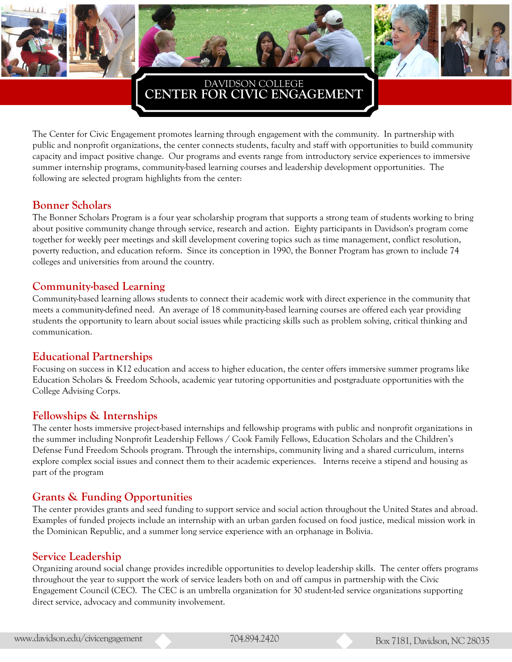



# **CENTER FOR CIVIC ENGAGEMENT** DAVIDSON COLLEGE

The Center for Civic Engagement promotes learning through engagement with the community. In partnership with public and nonprofit organizations, the center connects students, faculty and staff with opportunities to build community capacity and impact positive change. Our programs and events range from introductory service experiences to immersive summer internship programs, community-based learning courses and leadership development opportunities. The following are selected program highlights from the center:

#### **Bonner Scholars**

The Bonner Scholars Program is a four year scholarship program that supports a strong team of students working to bring about positive community change through service, research and action. Eighty participants in Davidson's program come together for weekly peer meetings and skill development covering topics such as time management, conflict resolution, poverty reduction, and education reform. Since its conception in 1990, the Bonner Program has grown to include 74 colleges and universities from around the country.

#### **Community-based Learning**

Community-based learning allows students to connect their academic work with direct experience in the community that meets a community-defined need. An average of 18 community-based learning courses are offered each year providing students the opportunity to learn about social issues while practicing skills such as problem solving, critical thinking and communication.

#### **Educational Partnerships**

Focusing on success in K12 education and access to higher education, the center offers immersive summer programs like Education Scholars & Freedom Schools, academic year tutoring opportunities and postgraduate opportunities with the College Advising Corps.

## **Fellowships & Internships**

The center hosts immersive project-based internships and fellowship programs with public and nonprofit organizations in the summer including Nonprofit Leadership Fellows / Cook Family Fellows, Education Scholars and the Children's Defense Fund Freedom Schools program. Through the internships, community living and a shared curriculum, interns explore complex social issues and connect them to their academic experiences. Interns receive a stipend and housing as part of the program

#### **Grants & Funding Opportunities**

The center provides grants and seed funding to support service and social action throughout the United States and abroad. Examples of funded projects include an internship with an urban garden focused on food justice, medical mission work in the Dominican Republic, and a summer long service experience with an orphanage in Bolivia.

## **Service Leadership**

Organizing around social change provides incredible opportunities to develop leadership skills. The center offers programs throughout the year to support the work of service leaders both on and off campus in partnership with the Civic Engagement Council (CEC). The CEC is an umbrella organization for 30 student-led service organizations supporting direct service, advocacy and community involvement.